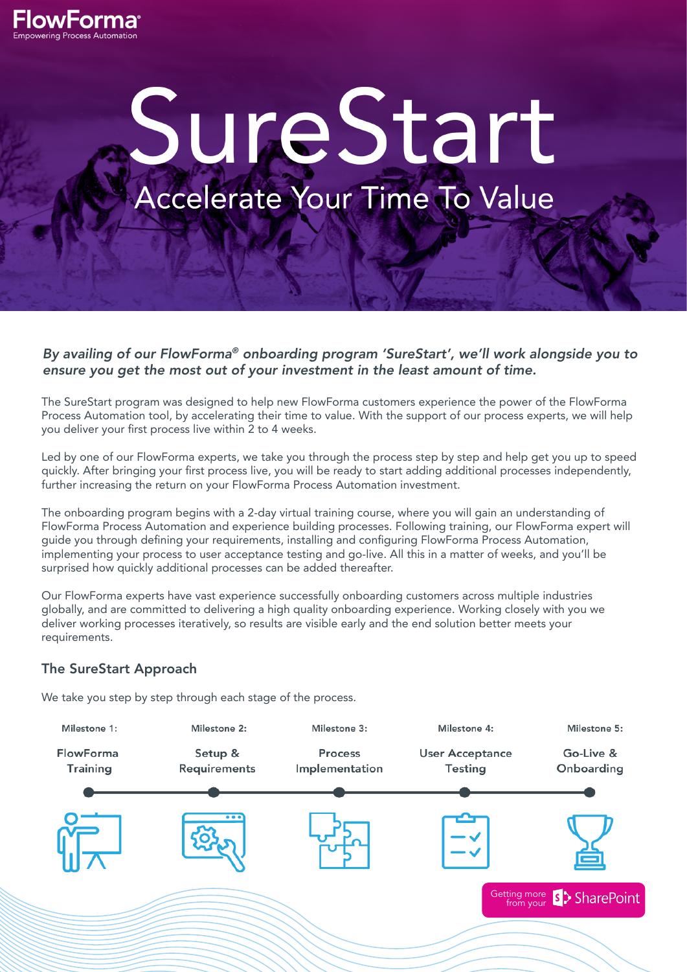

# SureStart Accelerate Your Time To Value

*By availing of our FlowForma® onboarding program 'SureStart', we'll work alongside you to ensure you get the most out of your investment in the least amount of time.*

The SureStart program was designed to help new FlowForma customers experience the power of the FlowForma Process Automation tool, by accelerating their time to value. With the support of our process experts, we will help you deliver your first process live within 2 to 4 weeks.

Led by one of our FlowForma experts, we take you through the process step by step and help get you up to speed quickly. After bringing your first process live, you will be ready to start adding additional processes independently, further increasing the return on your FlowForma Process Automation investment.

The onboarding program begins with a 2-day virtual training course, where you will gain an understanding of FlowForma Process Automation and experience building processes. Following training, our FlowForma expert will guide you through defining your requirements, installing and configuring FlowForma Process Automation, implementing your process to user acceptance testing and go-live. All this in a matter of weeks, and you'll be surprised how quickly additional processes can be added thereafter.

Our FlowForma experts have vast experience successfully onboarding customers across multiple industries globally, and are committed to delivering a high quality onboarding experience. Working closely with you we deliver working processes iteratively, so results are visible early and the end solution better meets your requirements.

# The SureStart Approach

We take you step by step through each stage of the process.